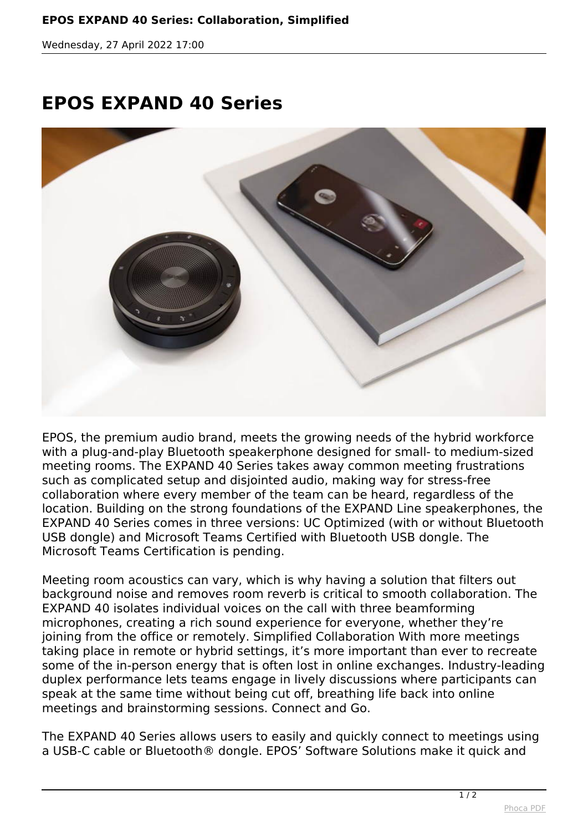*Wednesday, 27 April 2022 17:00*

## **EPOS EXPAND 40 Series**



*EPOS, the premium audio brand, meets the growing needs of the hybrid workforce with a plug-and-play Bluetooth speakerphone designed for small- to medium-sized meeting rooms. The EXPAND 40 Series takes away common meeting frustrations such as complicated setup and disjointed audio, making way for stress-free collaboration where every member of the team can be heard, regardless of the location. Building on the strong foundations of the EXPAND Line speakerphones, the EXPAND 40 Series comes in three versions: UC Optimized (with or without Bluetooth USB dongle) and Microsoft Teams Certified with Bluetooth USB dongle. The Microsoft Teams Certification is pending.*

*Meeting room acoustics can vary, which is why having a solution that filters out background noise and removes room reverb is critical to smooth collaboration. The EXPAND 40 isolates individual voices on the call with three beamforming microphones, creating a rich sound experience for everyone, whether they're joining from the office or remotely. Simplified Collaboration With more meetings taking place in remote or hybrid settings, it's more important than ever to recreate some of the in-person energy that is often lost in online exchanges. Industry-leading duplex performance lets teams engage in lively discussions where participants can speak at the same time without being cut off, breathing life back into online meetings and brainstorming sessions. Connect and Go.*

*The EXPAND 40 Series allows users to easily and quickly connect to meetings using a USB-C cable or Bluetooth® dongle. EPOS' Software Solutions make it quick and*